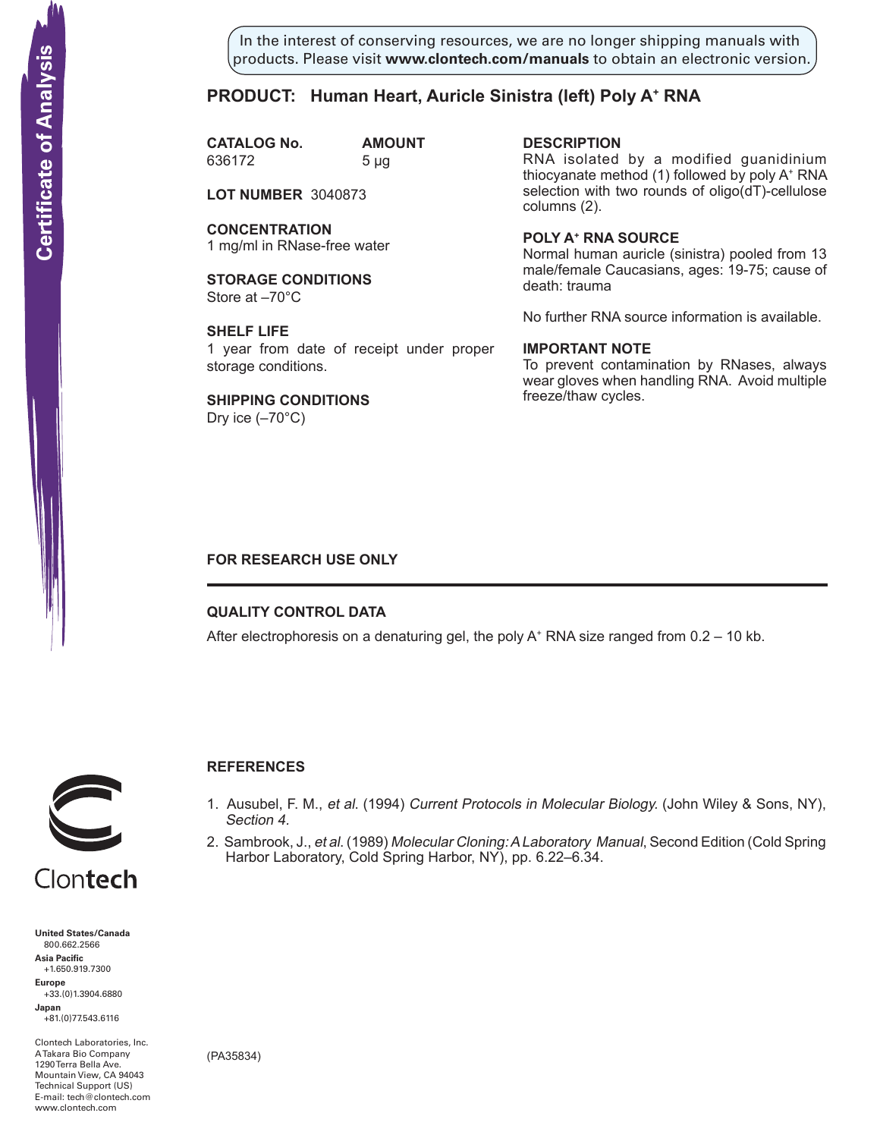In the interest of conserving resources, we are no longer shipping manuals with products. Please visit **www.clontech.com/manuals** to obtain an electronic version.

# **PRODUCT:** Human Heart, Auricle Sinistra (left) Poly A<sup>+</sup> RNA

**CATALOG No. AMOUNT** 636172 5 µg

**LOT NUMBER** 3040873

**CONCENTRATION** 1 mg/ml in RNase-free water

**STORAGE CONDITIONS** Store at –70°C

**SHELF LIFE** 1 year from date of receipt under proper storage conditions.

**SHIPPING CONDITIONS** Dry ice  $(-70^{\circ}C)$ 

**description** RNA isolated by a modified guanidinium thiocyanate method (1) followed by poly A+ RNA selection with two rounds of oligo(dT)-cellulose columns (2).

**Poly a+ RNA source** Normal human auricle (sinistra) pooled from 13 male/female Caucasians, ages: 19-75; cause of death: trauma

No further RNA source information is available.

## **IMPORTANT NOTE**

To prevent contamination by RNases, always wear gloves when handling RNA. Avoid multiple freeze/thaw cycles.

## **FOR RESEARCH USE ONLY**

## **QUALITY CONTROL DATA**

After electrophoresis on a denaturing gel, the poly  $A^+$  RNA size ranged from 0.2 – 10 kb.



# **References**

- 1. Ausubel, F. M., et al. (1994) Current Protocols in Molecular Biology. (John Wiley & Sons, NY), Section 4.
- 2. Sambrook, J., et al. (1989) Molecular Cloning: A Laboratory Manual, Second Edition (Cold Spring Harbor Laboratory, Cold Spring Harbor, NY), pp. 6.22–6.34.

Clontech

**United States/Canada** 800.662.2566 **Asia Pacific** +1.650.919.7300 **Europe** +33.(0)1.3904.6880 **Japan** +81.(0)77.543.6116 **Solution Control Control Control Control Control Control Control Control Control Control Control Control Control Control Control Control Control Control Control Control Control Control Control Control Control Control Cont** 

Clontech Laboratories, Inc. A Takara Bio Company 1290 Terra Bella Ave. Mountain View, CA 94043 Technical Support (US) E-mail: tech@clontech.com<br>www.clontech.com

(PA35834)